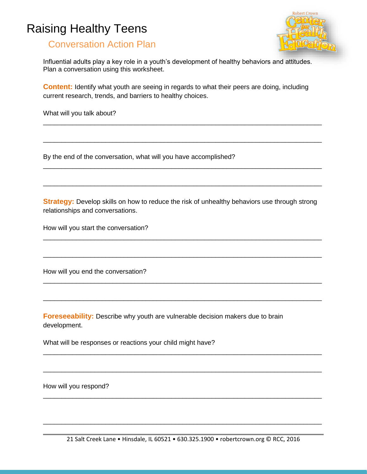## Raising Healthy Teens



## Conversation Action Plan

Influential adults play a key role in a youth's development of healthy behaviors and attitudes. Plan a conversation using this worksheet.

**Content:** Identify what youth are seeing in regards to what their peers are doing, including current research, trends, and barriers to healthy choices.

\_\_\_\_\_\_\_\_\_\_\_\_\_\_\_\_\_\_\_\_\_\_\_\_\_\_\_\_\_\_\_\_\_\_\_\_\_\_\_\_\_\_\_\_\_\_\_\_\_\_\_\_\_\_\_\_\_\_\_\_\_\_\_\_\_\_\_\_\_\_\_\_\_\_\_\_

\_\_\_\_\_\_\_\_\_\_\_\_\_\_\_\_\_\_\_\_\_\_\_\_\_\_\_\_\_\_\_\_\_\_\_\_\_\_\_\_\_\_\_\_\_\_\_\_\_\_\_\_\_\_\_\_\_\_\_\_\_\_\_\_\_\_\_\_\_\_\_\_\_\_\_\_

\_\_\_\_\_\_\_\_\_\_\_\_\_\_\_\_\_\_\_\_\_\_\_\_\_\_\_\_\_\_\_\_\_\_\_\_\_\_\_\_\_\_\_\_\_\_\_\_\_\_\_\_\_\_\_\_\_\_\_\_\_\_\_\_\_\_\_\_\_\_\_\_\_\_\_\_

\_\_\_\_\_\_\_\_\_\_\_\_\_\_\_\_\_\_\_\_\_\_\_\_\_\_\_\_\_\_\_\_\_\_\_\_\_\_\_\_\_\_\_\_\_\_\_\_\_\_\_\_\_\_\_\_\_\_\_\_\_\_\_\_\_\_\_\_\_\_\_\_\_\_\_\_

What will you talk about?

By the end of the conversation, what will you have accomplished?

**Strategy:** Develop skills on how to reduce the risk of unhealthy behaviors use through strong relationships and conversations.

\_\_\_\_\_\_\_\_\_\_\_\_\_\_\_\_\_\_\_\_\_\_\_\_\_\_\_\_\_\_\_\_\_\_\_\_\_\_\_\_\_\_\_\_\_\_\_\_\_\_\_\_\_\_\_\_\_\_\_\_\_\_\_\_\_\_\_\_\_\_\_\_\_\_\_\_

\_\_\_\_\_\_\_\_\_\_\_\_\_\_\_\_\_\_\_\_\_\_\_\_\_\_\_\_\_\_\_\_\_\_\_\_\_\_\_\_\_\_\_\_\_\_\_\_\_\_\_\_\_\_\_\_\_\_\_\_\_\_\_\_\_\_\_\_\_\_\_\_\_\_\_\_

\_\_\_\_\_\_\_\_\_\_\_\_\_\_\_\_\_\_\_\_\_\_\_\_\_\_\_\_\_\_\_\_\_\_\_\_\_\_\_\_\_\_\_\_\_\_\_\_\_\_\_\_\_\_\_\_\_\_\_\_\_\_\_\_\_\_\_\_\_\_\_\_\_\_\_\_

\_\_\_\_\_\_\_\_\_\_\_\_\_\_\_\_\_\_\_\_\_\_\_\_\_\_\_\_\_\_\_\_\_\_\_\_\_\_\_\_\_\_\_\_\_\_\_\_\_\_\_\_\_\_\_\_\_\_\_\_\_\_\_\_\_\_\_\_\_\_\_\_\_\_\_\_

\_\_\_\_\_\_\_\_\_\_\_\_\_\_\_\_\_\_\_\_\_\_\_\_\_\_\_\_\_\_\_\_\_\_\_\_\_\_\_\_\_\_\_\_\_\_\_\_\_\_\_\_\_\_\_\_\_\_\_\_\_\_\_\_\_\_\_\_\_\_\_\_\_\_\_\_

\_\_\_\_\_\_\_\_\_\_\_\_\_\_\_\_\_\_\_\_\_\_\_\_\_\_\_\_\_\_\_\_\_\_\_\_\_\_\_\_\_\_\_\_\_\_\_\_\_\_\_\_\_\_\_\_\_\_\_\_\_\_\_\_\_\_\_\_\_\_\_\_\_\_\_\_

\_\_\_\_\_\_\_\_\_\_\_\_\_\_\_\_\_\_\_\_\_\_\_\_\_\_\_\_\_\_\_\_\_\_\_\_\_\_\_\_\_\_\_\_\_\_\_\_\_\_\_\_\_\_\_\_\_\_\_\_\_\_\_\_\_\_\_\_\_\_\_\_\_\_\_\_

How will you start the conversation?

How will you end the conversation?

**Foreseeability:** Describe why youth are vulnerable decision makers due to brain development.

What will be responses or reactions your child might have?

How will you respond?

\_\_\_\_\_\_\_\_\_\_\_\_\_\_\_\_\_\_\_\_\_\_\_\_\_\_\_\_\_\_\_\_\_\_\_\_\_\_\_\_\_\_\_\_\_\_\_\_\_\_\_\_\_\_\_\_\_\_\_\_\_\_\_\_\_\_\_\_\_\_\_\_\_\_\_\_